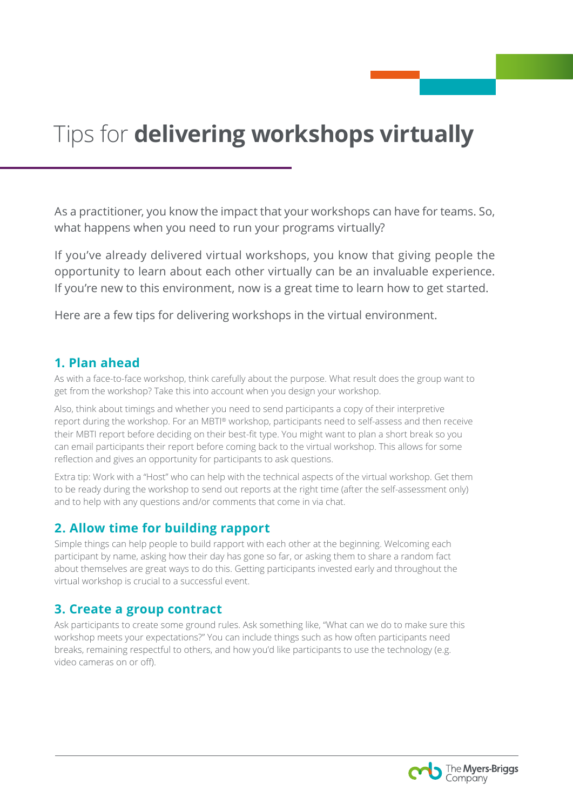# Tips for **delivering workshops virtually**

As a practitioner, you know the impact that your workshops can have for teams. So, what happens when you need to run your programs virtually?

If you've already delivered virtual workshops, you know that giving people the opportunity to learn about each other virtually can be an invaluable experience. If you're new to this environment, now is a great time to learn how to get started.

Here are a few tips for delivering workshops in the virtual environment.

#### **1. Plan ahead**

As with a face-to-face workshop, think carefully about the purpose. What result does the group want to get from the workshop? Take this into account when you design your workshop.

Also, think about timings and whether you need to send participants a copy of their interpretive report during the workshop. For an MBTI® workshop, participants need to self-assess and then receive their MBTI report before deciding on their best-fit type. You might want to plan a short break so you can email participants their report before coming back to the virtual workshop. This allows for some reflection and gives an opportunity for participants to ask questions.

Extra tip: Work with a "Host" who can help with the technical aspects of the virtual workshop. Get them to be ready during the workshop to send out reports at the right time (after the self-assessment only) and to help with any questions and/or comments that come in via chat.

### **2. Allow time for building rapport**

Simple things can help people to build rapport with each other at the beginning. Welcoming each participant by name, asking how their day has gone so far, or asking them to share a random fact about themselves are great ways to do this. Getting participants invested early and throughout the virtual workshop is crucial to a successful event.

### **3. Create a group contract**

Ask participants to create some ground rules. Ask something like, "What can we do to make sure this workshop meets your expectations?" You can include things such as how often participants need breaks, remaining respectful to others, and how you'd like participants to use the technology (e.g. video cameras on or off).